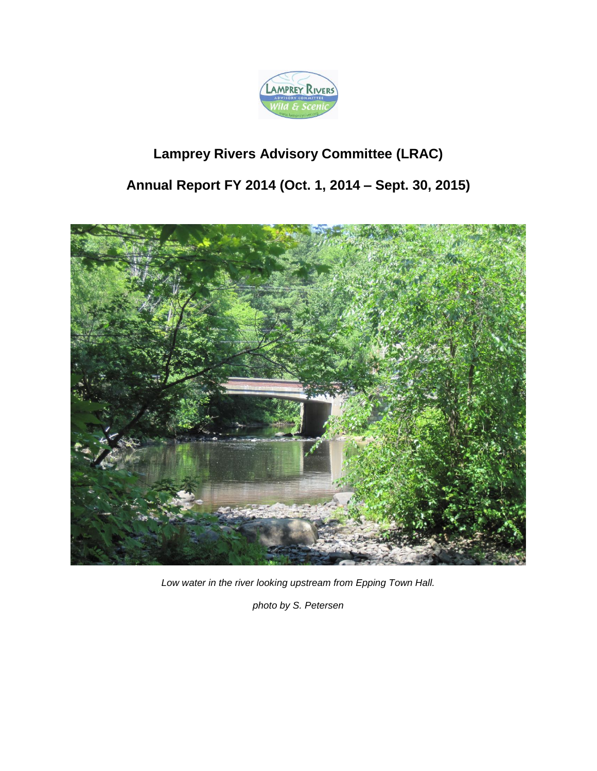

# **Lamprey Rivers Advisory Committee (LRAC)**

# **Annual Report FY 2014 (Oct. 1, 2014 – Sept. 30, 2015)**



*Low water in the river looking upstream from Epping Town Hall.*

*photo by S. Petersen*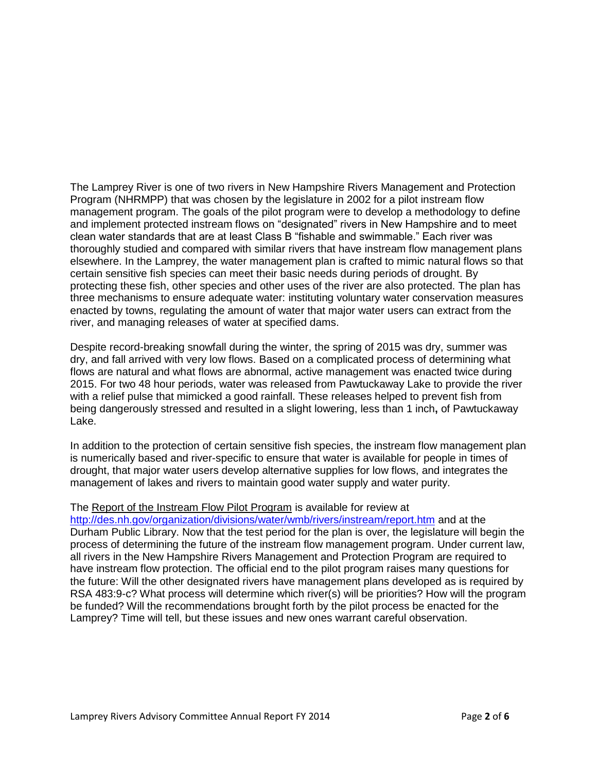The Lamprey River is one of two rivers in New Hampshire Rivers Management and Protection Program (NHRMPP) that was chosen by the legislature in 2002 for a pilot instream flow management program. The goals of the pilot program were to develop a methodology to define and implement protected instream flows on "designated" rivers in New Hampshire and to meet clean water standards that are at least Class B "fishable and swimmable." Each river was thoroughly studied and compared with similar rivers that have instream flow management plans elsewhere. In the Lamprey, the water management plan is crafted to mimic natural flows so that certain sensitive fish species can meet their basic needs during periods of drought. By protecting these fish, other species and other uses of the river are also protected. The plan has three mechanisms to ensure adequate water: instituting voluntary water conservation measures enacted by towns, regulating the amount of water that major water users can extract from the river, and managing releases of water at specified dams.

Despite record-breaking snowfall during the winter, the spring of 2015 was dry, summer was dry, and fall arrived with very low flows. Based on a complicated process of determining what flows are natural and what flows are abnormal, active management was enacted twice during 2015. For two 48 hour periods, water was released from Pawtuckaway Lake to provide the river with a relief pulse that mimicked a good rainfall. These releases helped to prevent fish from being dangerously stressed and resulted in a slight lowering, less than 1 inch**,** of Pawtuckaway Lake.

In addition to the protection of certain sensitive fish species, the instream flow management plan is numerically based and river-specific to ensure that water is available for people in times of drought, that major water users develop alternative supplies for low flows, and integrates the management of lakes and rivers to maintain good water supply and water purity.

#### The Report of the Instream Flow Pilot Program is available for review at

<http://des.nh.gov/organization/divisions/water/wmb/rivers/instream/report.htm> and at the Durham Public Library. Now that the test period for the plan is over, the legislature will begin the process of determining the future of the instream flow management program. Under current law, all rivers in the New Hampshire Rivers Management and Protection Program are required to have instream flow protection. The official end to the pilot program raises many questions for the future: Will the other designated rivers have management plans developed as is required by RSA 483:9-c? What process will determine which river(s) will be priorities? How will the program be funded? Will the recommendations brought forth by the pilot process be enacted for the Lamprey? Time will tell, but these issues and new ones warrant careful observation.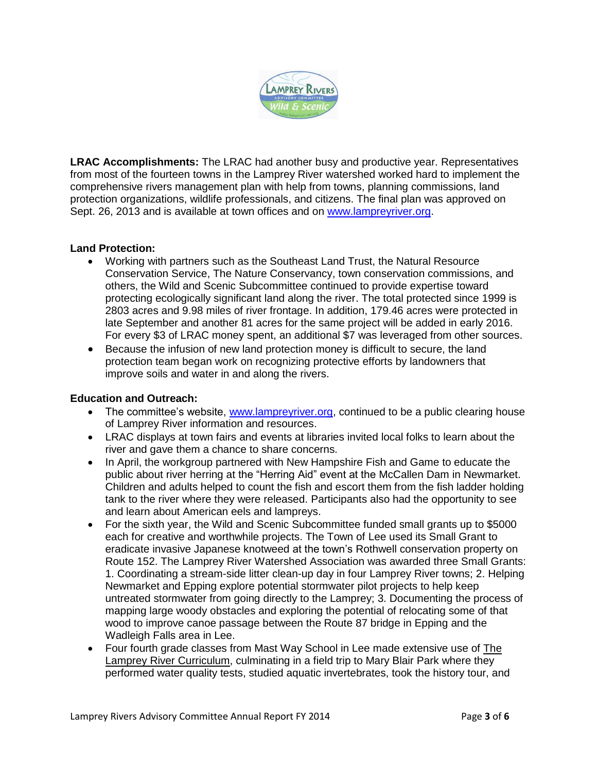

**LRAC Accomplishments:** The LRAC had another busy and productive year. Representatives from most of the fourteen towns in the Lamprey River watershed worked hard to implement the comprehensive rivers management plan with help from towns, planning commissions, land protection organizations, wildlife professionals, and citizens. The final plan was approved on Sept. 26, 2013 and is available at town offices and on [www.lampreyriver.org.](www.lampreyriver.org)

# **Land Protection:**

- Working with partners such as the Southeast Land Trust, the Natural Resource Conservation Service, The Nature Conservancy, town conservation commissions, and others, the Wild and Scenic Subcommittee continued to provide expertise toward protecting ecologically significant land along the river. The total protected since 1999 is 2803 acres and 9.98 miles of river frontage. In addition, 179.46 acres were protected in late September and another 81 acres for the same project will be added in early 2016. For every \$3 of LRAC money spent, an additional \$7 was leveraged from other sources.
- Because the infusion of new land protection money is difficult to secure, the land protection team began work on recognizing protective efforts by landowners that improve soils and water in and along the rivers.

# **Education and Outreach:**

- The committee's website, [www.lampreyriver.org,](http://www.lampreyriver.org/) continued to be a public clearing house of Lamprey River information and resources.
- LRAC displays at town fairs and events at libraries invited local folks to learn about the river and gave them a chance to share concerns.
- In April, the workgroup partnered with New Hampshire Fish and Game to educate the public about river herring at the "Herring Aid" event at the McCallen Dam in Newmarket. Children and adults helped to count the fish and escort them from the fish ladder holding tank to the river where they were released. Participants also had the opportunity to see and learn about American eels and lampreys.
- For the sixth year, the Wild and Scenic Subcommittee funded small grants up to \$5000 each for creative and worthwhile projects. The Town of Lee used its Small Grant to eradicate invasive Japanese knotweed at the town's Rothwell conservation property on Route 152. The Lamprey River Watershed Association was awarded three Small Grants: 1. Coordinating a stream-side litter clean-up day in four Lamprey River towns; 2. Helping Newmarket and Epping explore potential stormwater pilot projects to help keep untreated stormwater from going directly to the Lamprey; 3. Documenting the process of mapping large woody obstacles and exploring the potential of relocating some of that wood to improve canoe passage between the Route 87 bridge in Epping and the Wadleigh Falls area in Lee.
- Four fourth grade classes from Mast Way School in Lee made extensive use of The Lamprey River Curriculum, culminating in a field trip to Mary Blair Park where they performed water quality tests, studied aquatic invertebrates, took the history tour, and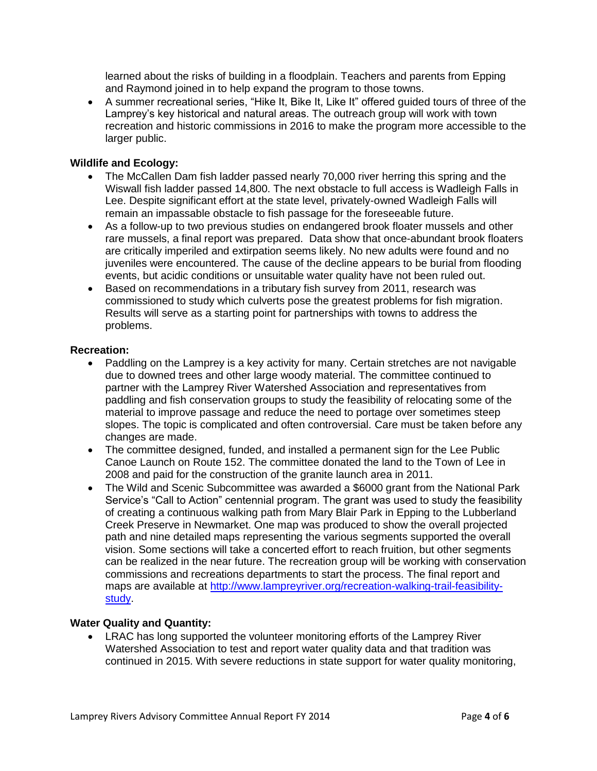learned about the risks of building in a floodplain. Teachers and parents from Epping and Raymond joined in to help expand the program to those towns.

 A summer recreational series, "Hike It, Bike It, Like It" offered guided tours of three of the Lamprey's key historical and natural areas. The outreach group will work with town recreation and historic commissions in 2016 to make the program more accessible to the larger public.

#### **Wildlife and Ecology:**

- The McCallen Dam fish ladder passed nearly 70,000 river herring this spring and the Wiswall fish ladder passed 14,800. The next obstacle to full access is Wadleigh Falls in Lee. Despite significant effort at the state level, privately-owned Wadleigh Falls will remain an impassable obstacle to fish passage for the foreseeable future.
- As a follow-up to two previous studies on endangered brook floater mussels and other rare mussels, a final report was prepared. Data show that once-abundant brook floaters are critically imperiled and extirpation seems likely. No new adults were found and no juveniles were encountered. The cause of the decline appears to be burial from flooding events, but acidic conditions or unsuitable water quality have not been ruled out.
- Based on recommendations in a tributary fish survey from 2011, research was commissioned to study which culverts pose the greatest problems for fish migration. Results will serve as a starting point for partnerships with towns to address the problems.

#### **Recreation:**

- Paddling on the Lamprey is a key activity for many. Certain stretches are not navigable due to downed trees and other large woody material. The committee continued to partner with the Lamprey River Watershed Association and representatives from paddling and fish conservation groups to study the feasibility of relocating some of the material to improve passage and reduce the need to portage over sometimes steep slopes. The topic is complicated and often controversial. Care must be taken before any changes are made.
- The committee designed, funded, and installed a permanent sign for the Lee Public Canoe Launch on Route 152. The committee donated the land to the Town of Lee in 2008 and paid for the construction of the granite launch area in 2011.
- The Wild and Scenic Subcommittee was awarded a \$6000 grant from the National Park Service's "Call to Action" centennial program. The grant was used to study the feasibility of creating a continuous walking path from Mary Blair Park in Epping to the Lubberland Creek Preserve in Newmarket. One map was produced to show the overall projected path and nine detailed maps representing the various segments supported the overall vision. Some sections will take a concerted effort to reach fruition, but other segments can be realized in the near future. The recreation group will be working with conservation commissions and recreations departments to start the process. The final report and maps are available at [http://www.lampreyriver.org/recreation-walking-trail-feasibility](http://www.lampreyriver.org/recreation-walking-trail-feasibility-study)[study.](http://www.lampreyriver.org/recreation-walking-trail-feasibility-study)

#### **Water Quality and Quantity:**

 LRAC has long supported the volunteer monitoring efforts of the Lamprey River Watershed Association to test and report water quality data and that tradition was continued in 2015. With severe reductions in state support for water quality monitoring,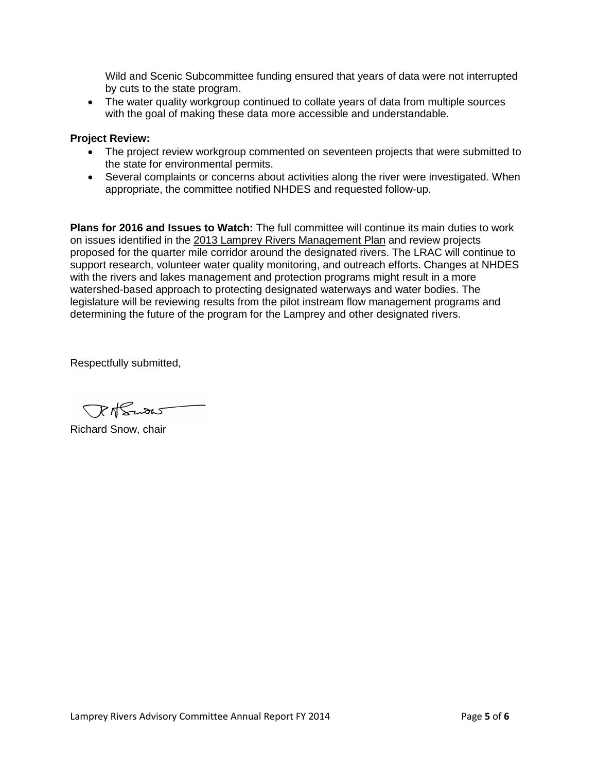Wild and Scenic Subcommittee funding ensured that years of data were not interrupted by cuts to the state program.

• The water quality workgroup continued to collate years of data from multiple sources with the goal of making these data more accessible and understandable.

### **Project Review:**

- The project review workgroup commented on seventeen projects that were submitted to the state for environmental permits.
- Several complaints or concerns about activities along the river were investigated. When appropriate, the committee notified NHDES and requested follow-up.

**Plans for 2016 and Issues to Watch:** The full committee will continue its main duties to work on issues identified in the 2013 Lamprey Rivers Management Plan and review projects proposed for the quarter mile corridor around the designated rivers. The LRAC will continue to support research, volunteer water quality monitoring, and outreach efforts. Changes at NHDES with the rivers and lakes management and protection programs might result in a more watershed-based approach to protecting designated waterways and water bodies. The legislature will be reviewing results from the pilot instream flow management programs and determining the future of the program for the Lamprey and other designated rivers.

Respectfully submitted,

Toth Swas

Richard Snow, chair